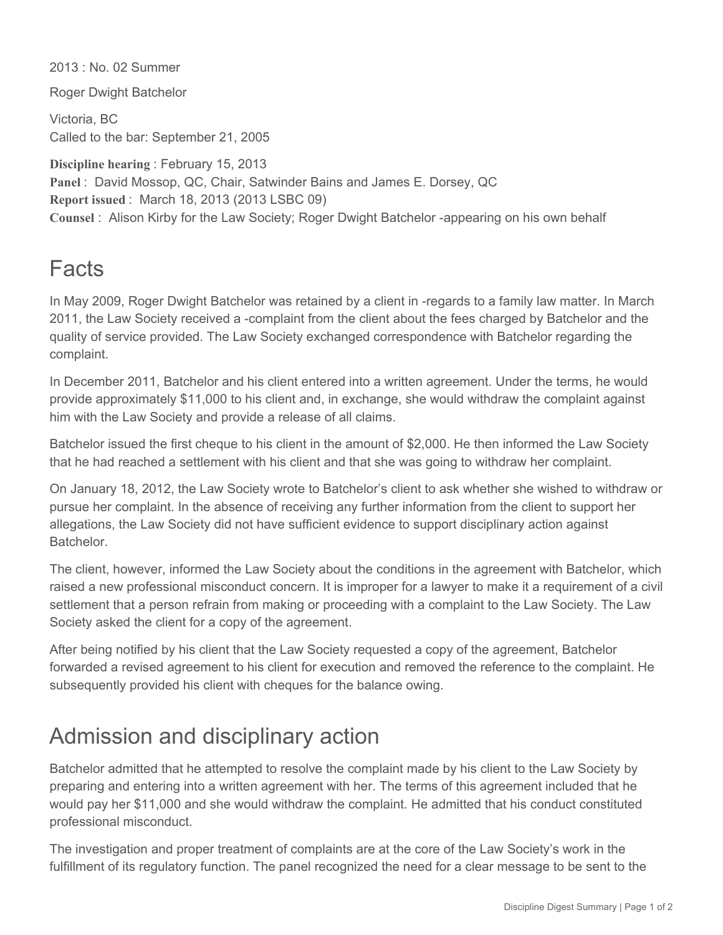2013 : No. 02 Summer

Roger Dwight Batchelor

Victoria, BC Called to the bar: September 21, 2005

**Discipline hearing** : February 15, 2013 **Panel** : David Mossop, QC, Chair, Satwinder Bains and James E. Dorsey, QC **Report issued** : March 18, 2013 (2013 LSBC 09) **Counsel** : Alison Kirby for the Law Society; Roger Dwight Batchelor appearing on his own behalf

## Facts

In May 2009, Roger Dwight Batchelor was retained by a client in -regards to a family law matter. In March 2011, the Law Society received a complaint from the client about the fees charged by Batchelor and the quality of service provided. The Law Society exchanged correspondence with Batchelor regarding the complaint.

In December 2011, Batchelor and his client entered into a written agreement. Under the terms, he would provide approximately \$11,000 to his client and, in exchange, she would withdraw the complaint against him with the Law Society and provide a release of all claims.

Batchelor issued the first cheque to his client in the amount of \$2,000. He then informed the Law Society that he had reached a settlement with his client and that she was going to withdraw her complaint.

On January 18, 2012, the Law Society wrote to Batchelor's client to ask whether she wished to withdraw or pursue her complaint. In the absence of receiving any further information from the client to support her allegations, the Law Society did not have sufficient evidence to support disciplinary action against **Batchelor** 

The client, however, informed the Law Society about the conditions in the agreement with Batchelor, which raised a new professional misconduct concern. It is improper for a lawyer to make it a requirement of a civil settlement that a person refrain from making or proceeding with a complaint to the Law Society. The Law Society asked the client for a copy of the agreement.

After being notified by his client that the Law Society requested a copy of the agreement, Batchelor forwarded a revised agreement to his client for execution and removed the reference to the complaint. He subsequently provided his client with cheques for the balance owing.

## Admission and disciplinary action

Batchelor admitted that he attempted to resolve the complaint made by his client to the Law Society by preparing and entering into a written agreement with her. The terms of this agreement included that he would pay her \$11,000 and she would withdraw the complaint. He admitted that his conduct constituted professional misconduct.

The investigation and proper treatment of complaints are at the core of the Law Society's work in the fulfillment of its regulatory function. The panel recognized the need for a clear message to be sent to the